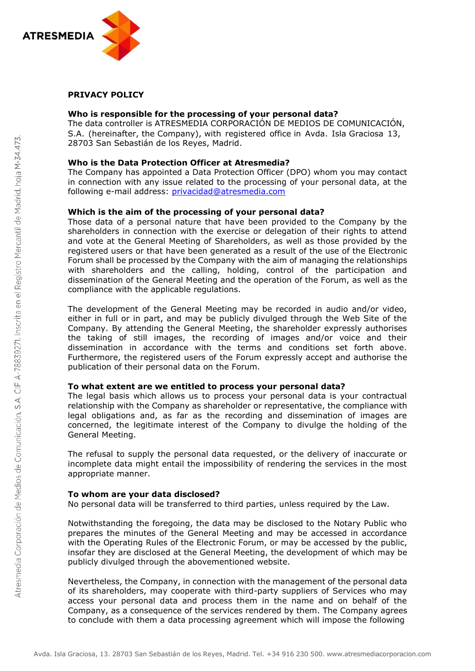

## **PRIVACY POLICY**

### **Who is responsible for the processing of your personal data?**

The data controller is ATRESMEDIA CORPORACIÓN DE MEDIOS DE COMUNICACIÓN, S.A. (hereinafter, the Company), with registered office in Avda. Isla Graciosa 13, 28703 San Sebastián de los Reyes, Madrid.

#### **Who is the Data Protection Officer at Atresmedia?**

The Company has appointed a Data Protection Officer (DPO) whom you may contact in connection with any issue related to the processing of your personal data, at the following e-mail address: [privacidad@atresmedia.com](mailto:privacidad@atresmedia.com)

## **Which is the aim of the processing of your personal data?**

Those data of a personal nature that have been provided to the Company by the shareholders in connection with the exercise or delegation of their rights to attend and vote at the General Meeting of Shareholders, as well as those provided by the registered users or that have been generated as a result of the use of the Electronic Forum shall be processed by the Company with the aim of managing the relationships with shareholders and the calling, holding, control of the participation and dissemination of the General Meeting and the operation of the Forum, as well as the compliance with the applicable regulations.

The development of the General Meeting may be recorded in audio and/or video, either in full or in part, and may be publicly divulged through the Web Site of the Company. By attending the General Meeting, the shareholder expressly authorises the taking of still images, the recording of images and/or voice and their dissemination in accordance with the terms and conditions set forth above. Furthermore, the registered users of the Forum expressly accept and authorise the publication of their personal data on the Forum.

#### **To what extent are we entitled to process your personal data?**

The legal basis which allows us to process your personal data is your contractual relationship with the Company as shareholder or representative, the compliance with legal obligations and, as far as the recording and dissemination of images are concerned, the legitimate interest of the Company to divulge the holding of the General Meeting.

The refusal to supply the personal data requested, or the delivery of inaccurate or incomplete data might entail the impossibility of rendering the services in the most appropriate manner.

#### **To whom are your data disclosed?**

No personal data will be transferred to third parties, unless required by the Law.

Notwithstanding the foregoing, the data may be disclosed to the Notary Public who prepares the minutes of the General Meeting and may be accessed in accordance with the Operating Rules of the Electronic Forum, or may be accessed by the public, insofar they are disclosed at the General Meeting, the development of which may be publicly divulged through the abovementioned website.

Nevertheless, the Company, in connection with the management of the personal data of its shareholders, may cooperate with third-party suppliers of Services who may access your personal data and process them in the name and on behalf of the Company, as a consequence of the services rendered by them. The Company agrees to conclude with them a data processing agreement which will impose the following